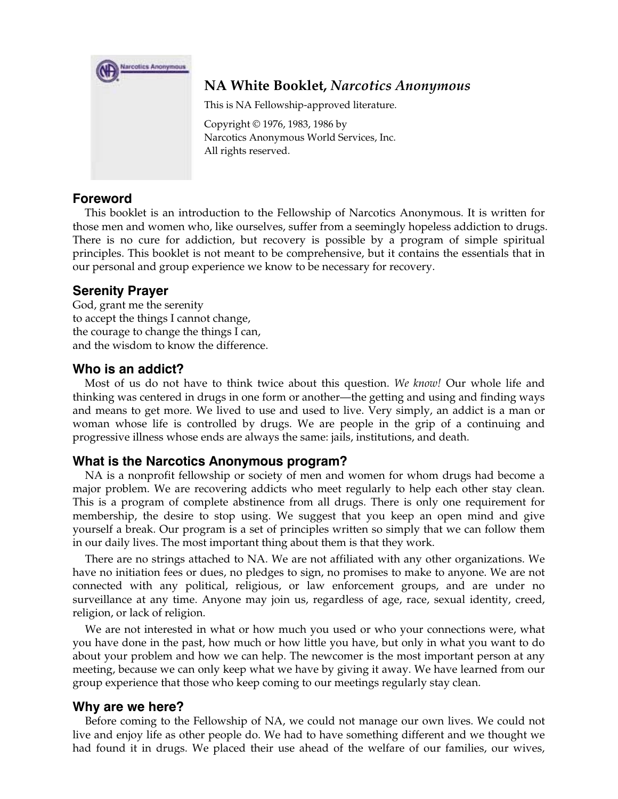

# **NA White Booklet,** *Narcotics Anonymous*

This is NA Fellowship-approved literature.

Copyright © 1976, 1983, 1986 by Narcotics Anonymous World Services, Inc. All rights reserved.

## **Foreword**

This booklet is an introduction to the Fellowship of Narcotics Anonymous. It is written for those men and women who, like ourselves, suffer from a seemingly hopeless addiction to drugs. There is no cure for addiction, but recovery is possible by a program of simple spiritual principles. This booklet is not meant to be comprehensive, but it contains the essentials that in our personal and group experience we know to be necessary for recovery.

## **Serenity Prayer**

God, grant me the serenity to accept the things I cannot change, the courage to change the things I can, and the wisdom to know the difference.

## **Who is an addict?**

Most of us do not have to think twice about this question. *We know!* Our whole life and thinking was centered in drugs in one form or another—the getting and using and finding ways and means to get more. We lived to use and used to live. Very simply, an addict is a man or woman whose life is controlled by drugs. We are people in the grip of a continuing and progressive illness whose ends are always the same: jails, institutions, and death.

## **What is the Narcotics Anonymous program?**

NA is a nonprofit fellowship or society of men and women for whom drugs had become a major problem. We are recovering addicts who meet regularly to help each other stay clean. This is a program of complete abstinence from all drugs. There is only one requirement for membership, the desire to stop using. We suggest that you keep an open mind and give yourself a break. Our program is a set of principles written so simply that we can follow them in our daily lives. The most important thing about them is that they work.

There are no strings attached to NA. We are not affiliated with any other organizations. We have no initiation fees or dues, no pledges to sign, no promises to make to anyone. We are not connected with any political, religious, or law enforcement groups, and are under no surveillance at any time. Anyone may join us, regardless of age, race, sexual identity, creed, religion, or lack of religion.

We are not interested in what or how much you used or who your connections were, what you have done in the past, how much or how little you have, but only in what you want to do about your problem and how we can help. The newcomer is the most important person at any meeting, because we can only keep what we have by giving it away. We have learned from our group experience that those who keep coming to our meetings regularly stay clean.

## **Why are we here?**

Before coming to the Fellowship of NA, we could not manage our own lives. We could not live and enjoy life as other people do. We had to have something different and we thought we had found it in drugs. We placed their use ahead of the welfare of our families, our wives,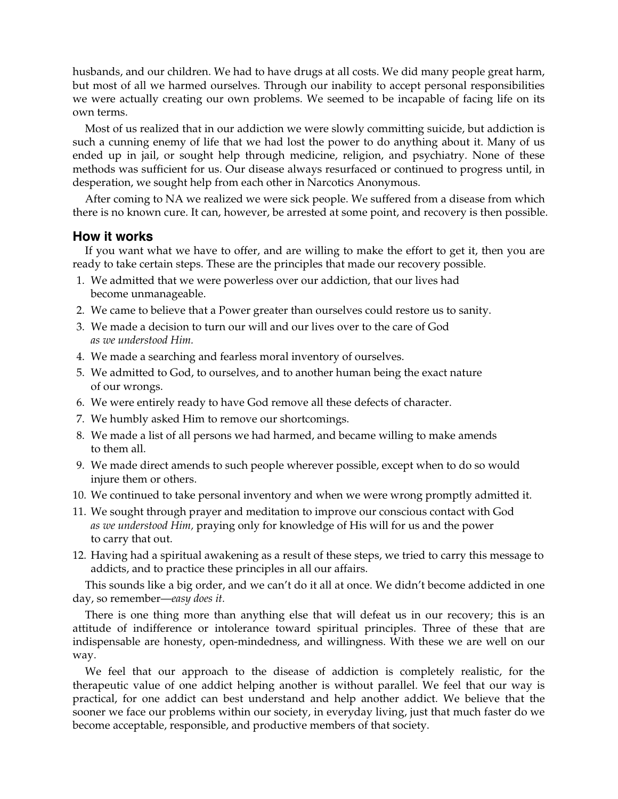husbands, and our children. We had to have drugs at all costs. We did many people great harm, but most of all we harmed ourselves. Through our inability to accept personal responsibilities we were actually creating our own problems. We seemed to be incapable of facing life on its own terms.

Most of us realized that in our addiction we were slowly committing suicide, but addiction is such a cunning enemy of life that we had lost the power to do anything about it. Many of us ended up in jail, or sought help through medicine, religion, and psychiatry. None of these methods was sufficient for us. Our disease always resurfaced or continued to progress until, in desperation, we sought help from each other in Narcotics Anonymous.

After coming to NA we realized we were sick people. We suffered from a disease from which there is no known cure. It can, however, be arrested at some point, and recovery is then possible.

### **How it works**

If you want what we have to offer, and are willing to make the effort to get it, then you are ready to take certain steps. These are the principles that made our recovery possible.

- 1. We admitted that we were powerless over our addiction, that our lives had become unmanageable.
- 2. We came to believe that a Power greater than ourselves could restore us to sanity.
- 3. We made a decision to turn our will and our lives over to the care of God *as we understood Him.*
- 4. We made a searching and fearless moral inventory of ourselves.
- 5. We admitted to God, to ourselves, and to another human being the exact nature of our wrongs.
- 6. We were entirely ready to have God remove all these defects of character.
- 7. We humbly asked Him to remove our shortcomings.
- 8. We made a list of all persons we had harmed, and became willing to make amends to them all.
- 9. We made direct amends to such people wherever possible, except when to do so would injure them or others.
- 10. We continued to take personal inventory and when we were wrong promptly admitted it.
- 11. We sought through prayer and meditation to improve our conscious contact with God *as we understood Him,* praying only for knowledge of His will for us and the power to carry that out.
- 12. Having had a spiritual awakening as a result of these steps, we tried to carry this message to addicts, and to practice these principles in all our affairs.

This sounds like a big order, and we can't do it all at once. We didn't become addicted in one day, so remember—*easy does it.*

There is one thing more than anything else that will defeat us in our recovery; this is an attitude of indifference or intolerance toward spiritual principles. Three of these that are indispensable are honesty, open-mindedness, and willingness. With these we are well on our way.

We feel that our approach to the disease of addiction is completely realistic, for the therapeutic value of one addict helping another is without parallel. We feel that our way is practical, for one addict can best understand and help another addict. We believe that the sooner we face our problems within our society, in everyday living, just that much faster do we become acceptable, responsible, and productive members of that society.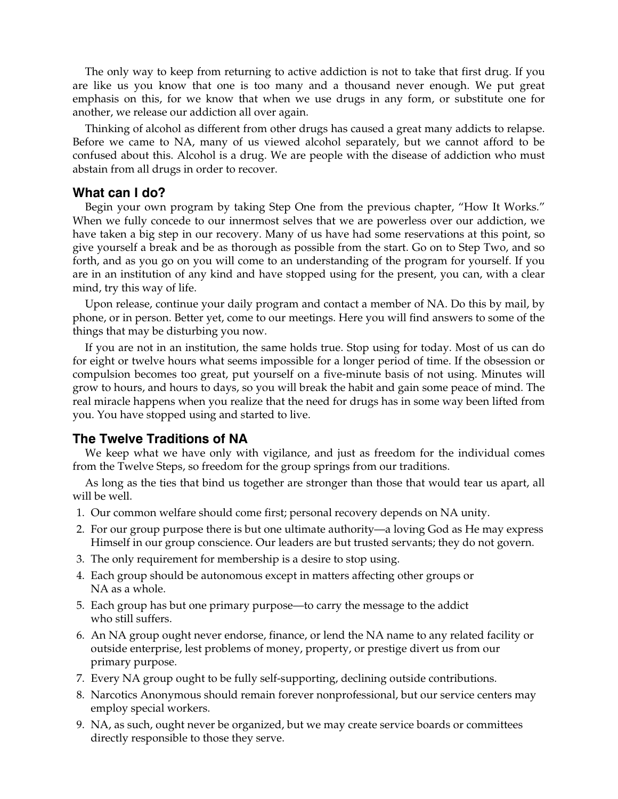The only way to keep from returning to active addiction is not to take that first drug. If you are like us you know that one is too many and a thousand never enough. We put great emphasis on this, for we know that when we use drugs in any form, or substitute one for another, we release our addiction all over again.

Thinking of alcohol as different from other drugs has caused a great many addicts to relapse. Before we came to NA, many of us viewed alcohol separately, but we cannot afford to be confused about this. Alcohol is a drug. We are people with the disease of addiction who must abstain from all drugs in order to recover.

### **What can I do?**

Begin your own program by taking Step One from the previous chapter, "How It Works." When we fully concede to our innermost selves that we are powerless over our addiction, we have taken a big step in our recovery. Many of us have had some reservations at this point, so give yourself a break and be as thorough as possible from the start. Go on to Step Two, and so forth, and as you go on you will come to an understanding of the program for yourself. If you are in an institution of any kind and have stopped using for the present, you can, with a clear mind, try this way of life.

Upon release, continue your daily program and contact a member of NA. Do this by mail, by phone, or in person. Better yet, come to our meetings. Here you will find answers to some of the things that may be disturbing you now.

If you are not in an institution, the same holds true. Stop using for today. Most of us can do for eight or twelve hours what seems impossible for a longer period of time. If the obsession or compulsion becomes too great, put yourself on a five-minute basis of not using. Minutes will grow to hours, and hours to days, so you will break the habit and gain some peace of mind. The real miracle happens when you realize that the need for drugs has in some way been lifted from you. You have stopped using and started to live.

#### **The Twelve Traditions of NA**

We keep what we have only with vigilance, and just as freedom for the individual comes from the Twelve Steps, so freedom for the group springs from our traditions.

As long as the ties that bind us together are stronger than those that would tear us apart, all will be well.

- 1. Our common welfare should come first; personal recovery depends on NA unity.
- 2. For our group purpose there is but one ultimate authority—a loving God as He may express Himself in our group conscience. Our leaders are but trusted servants; they do not govern.
- 3. The only requirement for membership is a desire to stop using.
- 4. Each group should be autonomous except in matters affecting other groups or NA as a whole.
- 5. Each group has but one primary purpose—to carry the message to the addict who still suffers.
- 6. An NA group ought never endorse, finance, or lend the NA name to any related facility or outside enterprise, lest problems of money, property, or prestige divert us from our primary purpose.
- 7. Every NA group ought to be fully self-supporting, declining outside contributions.
- 8. Narcotics Anonymous should remain forever nonprofessional, but our service centers may employ special workers.
- 9. NA, as such, ought never be organized, but we may create service boards or committees directly responsible to those they serve.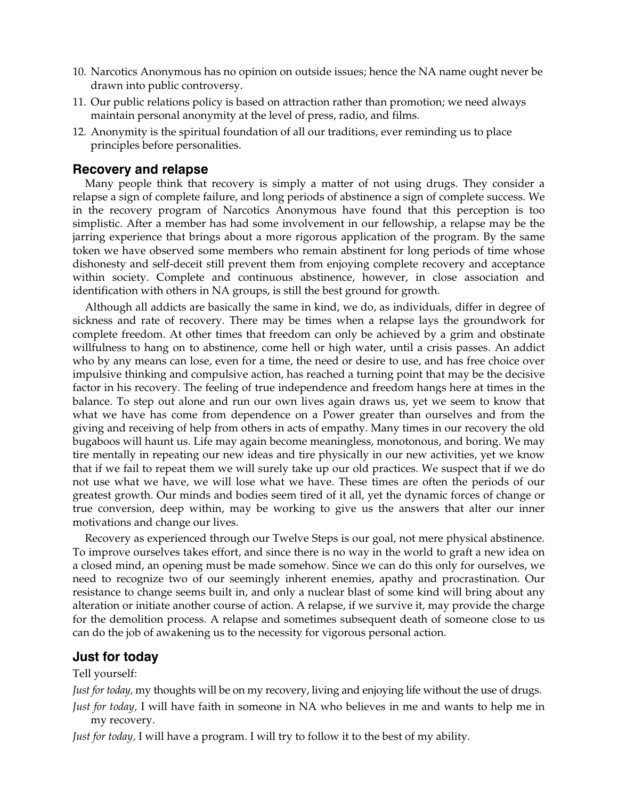- 10. Narcotics Anonymous has no opinion on outside issues; hence the NA name ought never be drawn into public controversy.
- 11. Our public relations policy is based on attraction rather than promotion; we need always maintain personal anonymity at the level of press, radio, and films.
- 12. Anonymity is the spiritual foundation of all our traditions, ever reminding us to place principles before personalities.

#### **Recovery and relapse**

Many people think that recovery is simply a matter of not using drugs. They consider a relapse a sign of complete failure, and long periods of abstinence a sign of complete success. We in the recovery program of Narcotics Anonymous have found that this perception is too simplistic. After a member has had some involvement in our fellowship, a relapse may be the jarring experience that brings about a more rigorous application of the program. By the same token we have observed some members who remain abstinent for long periods of time whose dishonesty and self-deceit still prevent them from enjoying complete recovery and acceptance within society. Complete and continuous abstinence, however, in close association and identification with others in NA groups, is still the best ground for growth.

Although all addicts are basically the same in kind, we do, as individuals, differ in degree of sickness and rate of recovery. There may be times when a relapse lays the groundwork for complete freedom. At other times that freedom can only be achieved by a grim and obstinate willfulness to hang on to abstinence, come hell or high water, until a crisis passes. An addict who by any means can lose, even for a time, the need or desire to use, and has free choice over impulsive thinking and compulsive action, has reached a turning point that may be the decisive factor in his recovery. The feeling of true independence and freedom hangs here at times in the balance. To step out alone and run our own lives again draws us, yet we seem to know that what we have has come from dependence on a Power greater than ourselves and from the giving and receiving of help from others in acts of empathy. Many times in our recovery the old bugaboos will haunt us. Life may again become meaningless, monotonous, and boring. We may tire mentally in repeating our new ideas and tire physically in our new activities, yet we know that if we fail to repeat them we will surely take up our old practices. We suspect that if we do not use what we have, we will lose what we have. These times are often the periods of our greatest growth. Our minds and bodies seem tired of it all, yet the dynamic forces of change or true conversion, deep within, may be working to give us the answers that alter our inner motivations and change our lives.

Recovery as experienced through our Twelve Steps is our goal, not mere physical abstinence. To improve ourselves takes effort, and since there is no way in the world to graft a new idea on a closed mind, an opening must be made somehow. Since we can do this only for ourselves, we need to recognize two of our seemingly inherent enemies, apathy and procrastination. Our resistance to change seems built in, and only a nuclear blast of some kind will bring about any alteration or initiate another course of action. A relapse, if we survive it, may provide the charge for the demolition process. A relapse and sometimes subsequent death of someone close to us can do the job of awakening us to the necessity for vigorous personal action.

### **Just for today**

Tell yourself:

*Just for today,* my thoughts will be on my recovery, living and enjoying life without the use of drugs.

*Just for today,* I will have faith in someone in NA who believes in me and wants to help me in my recovery.

*Just for today,* I will have a program. I will try to follow it to the best of my ability.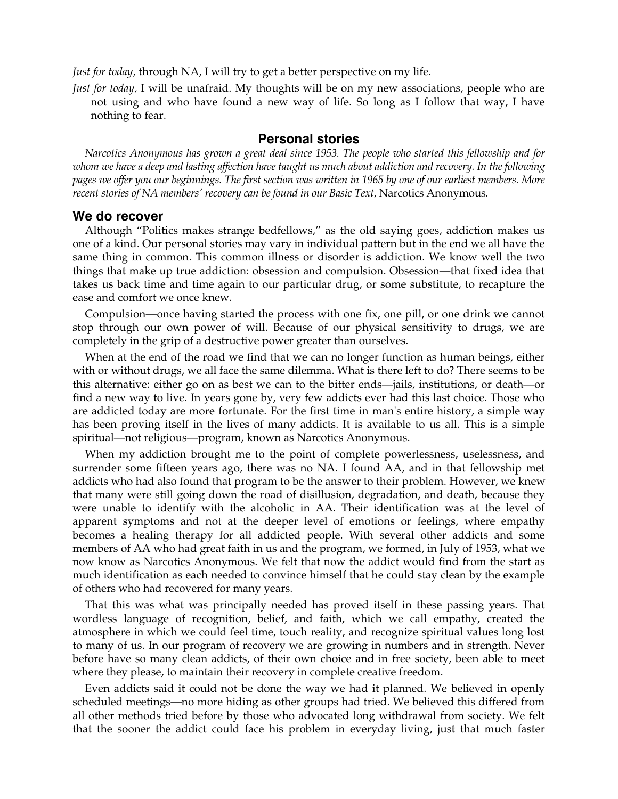*Just for today,* through NA, I will try to get a better perspective on my life.

*Just for today,* I will be unafraid. My thoughts will be on my new associations, people who are not using and who have found a new way of life. So long as I follow that way, I have nothing to fear.

### **Personal stories**

*Narcotics Anonymous has grown a great deal since 1953. The people who started this fellowship and for whom we have a deep and lasting affection have taught us much about addiction and recovery. In the following pages we offer you our beginnings. The first section was written in 1965 by one of our earliest members. More recent stories of NA members' recovery can be found in our Basic Text, Narcotics Anonymous.* 

#### **We do recover**

Although "Politics makes strange bedfellows," as the old saying goes, addiction makes us one of a kind. Our personal stories may vary in individual pattern but in the end we all have the same thing in common. This common illness or disorder is addiction. We know well the two things that make up true addiction: obsession and compulsion. Obsession—that fixed idea that takes us back time and time again to our particular drug, or some substitute, to recapture the ease and comfort we once knew.

Compulsion—once having started the process with one fix, one pill, or one drink we cannot stop through our own power of will. Because of our physical sensitivity to drugs, we are completely in the grip of a destructive power greater than ourselves.

When at the end of the road we find that we can no longer function as human beings, either with or without drugs, we all face the same dilemma. What is there left to do? There seems to be this alternative: either go on as best we can to the bitter ends—jails, institutions, or death—or find a new way to live. In years gone by, very few addicts ever had this last choice. Those who are addicted today are more fortunate. For the first time in man's entire history, a simple way has been proving itself in the lives of many addicts. It is available to us all. This is a simple spiritual—not religious—program, known as Narcotics Anonymous.

When my addiction brought me to the point of complete powerlessness, uselessness, and surrender some fifteen years ago, there was no NA. I found AA, and in that fellowship met addicts who had also found that program to be the answer to their problem. However, we knew that many were still going down the road of disillusion, degradation, and death, because they were unable to identify with the alcoholic in AA. Their identification was at the level of apparent symptoms and not at the deeper level of emotions or feelings, where empathy becomes a healing therapy for all addicted people. With several other addicts and some members of AA who had great faith in us and the program, we formed, in July of 1953, what we now know as Narcotics Anonymous. We felt that now the addict would find from the start as much identification as each needed to convince himself that he could stay clean by the example of others who had recovered for many years.

That this was what was principally needed has proved itself in these passing years. That wordless language of recognition, belief, and faith, which we call empathy, created the atmosphere in which we could feel time, touch reality, and recognize spiritual values long lost to many of us. In our program of recovery we are growing in numbers and in strength. Never before have so many clean addicts, of their own choice and in free society, been able to meet where they please, to maintain their recovery in complete creative freedom.

Even addicts said it could not be done the way we had it planned. We believed in openly scheduled meetings—no more hiding as other groups had tried. We believed this differed from all other methods tried before by those who advocated long withdrawal from society. We felt that the sooner the addict could face his problem in everyday living, just that much faster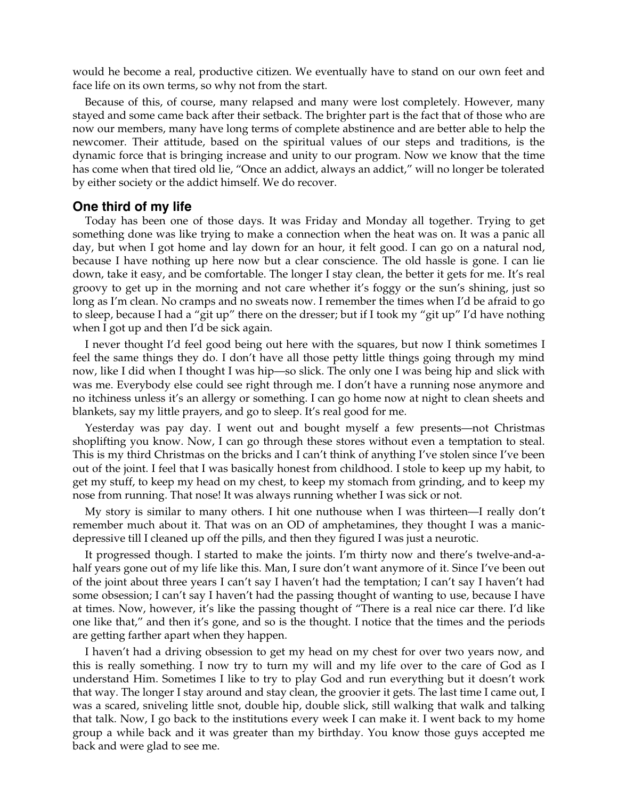would he become a real, productive citizen. We eventually have to stand on our own feet and face life on its own terms, so why not from the start.

Because of this, of course, many relapsed and many were lost completely. However, many stayed and some came back after their setback. The brighter part is the fact that of those who are now our members, many have long terms of complete abstinence and are better able to help the newcomer. Their attitude, based on the spiritual values of our steps and traditions, is the dynamic force that is bringing increase and unity to our program. Now we know that the time has come when that tired old lie, "Once an addict, always an addict," will no longer be tolerated by either society or the addict himself. We do recover.

### **One third of my life**

Today has been one of those days. It was Friday and Monday all together. Trying to get something done was like trying to make a connection when the heat was on. It was a panic all day, but when I got home and lay down for an hour, it felt good. I can go on a natural nod, because I have nothing up here now but a clear conscience. The old hassle is gone. I can lie down, take it easy, and be comfortable. The longer I stay clean, the better it gets for me. It's real groovy to get up in the morning and not care whether it's foggy or the sun's shining, just so long as I'm clean. No cramps and no sweats now. I remember the times when I'd be afraid to go to sleep, because I had a "git up" there on the dresser; but if I took my "git up" I'd have nothing when I got up and then I'd be sick again.

I never thought I'd feel good being out here with the squares, but now I think sometimes I feel the same things they do. I don't have all those petty little things going through my mind now, like I did when I thought I was hip—so slick. The only one I was being hip and slick with was me. Everybody else could see right through me. I don't have a running nose anymore and no itchiness unless it's an allergy or something. I can go home now at night to clean sheets and blankets, say my little prayers, and go to sleep. It's real good for me.

Yesterday was pay day. I went out and bought myself a few presents—not Christmas shoplifting you know. Now, I can go through these stores without even a temptation to steal. This is my third Christmas on the bricks and I can't think of anything I've stolen since I've been out of the joint. I feel that I was basically honest from childhood. I stole to keep up my habit, to get my stuff, to keep my head on my chest, to keep my stomach from grinding, and to keep my nose from running. That nose! It was always running whether I was sick or not.

My story is similar to many others. I hit one nuthouse when I was thirteen—I really don't remember much about it. That was on an OD of amphetamines, they thought I was a manicdepressive till I cleaned up off the pills, and then they figured I was just a neurotic.

It progressed though. I started to make the joints. I'm thirty now and there's twelve-and-ahalf years gone out of my life like this. Man, I sure don't want anymore of it. Since I've been out of the joint about three years I can't say I haven't had the temptation; I can't say I haven't had some obsession; I can't say I haven't had the passing thought of wanting to use, because I have at times. Now, however, it's like the passing thought of "There is a real nice car there. I'd like one like that," and then it's gone, and so is the thought. I notice that the times and the periods are getting farther apart when they happen.

I haven't had a driving obsession to get my head on my chest for over two years now, and this is really something. I now try to turn my will and my life over to the care of God as I understand Him. Sometimes I like to try to play God and run everything but it doesn't work that way. The longer I stay around and stay clean, the groovier it gets. The last time I came out, I was a scared, sniveling little snot, double hip, double slick, still walking that walk and talking that talk. Now, I go back to the institutions every week I can make it. I went back to my home group a while back and it was greater than my birthday. You know those guys accepted me back and were glad to see me.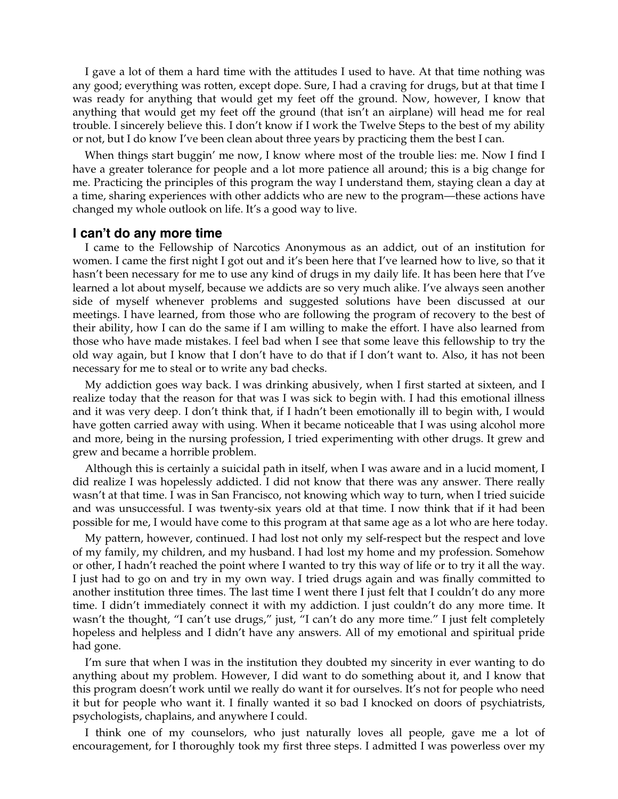I gave a lot of them a hard time with the attitudes I used to have. At that time nothing was any good; everything was rotten, except dope. Sure, I had a craving for drugs, but at that time I was ready for anything that would get my feet off the ground. Now, however, I know that anything that would get my feet off the ground (that isn't an airplane) will head me for real trouble. I sincerely believe this. I don't know if I work the Twelve Steps to the best of my ability or not, but I do know I've been clean about three years by practicing them the best I can.

When things start buggin' me now, I know where most of the trouble lies: me. Now I find I have a greater tolerance for people and a lot more patience all around; this is a big change for me. Practicing the principles of this program the way I understand them, staying clean a day at a time, sharing experiences with other addicts who are new to the program—these actions have changed my whole outlook on life. It's a good way to live.

#### **I can't do any more time**

I came to the Fellowship of Narcotics Anonymous as an addict, out of an institution for women. I came the first night I got out and it's been here that I've learned how to live, so that it hasn't been necessary for me to use any kind of drugs in my daily life. It has been here that I've learned a lot about myself, because we addicts are so very much alike. I've always seen another side of myself whenever problems and suggested solutions have been discussed at our meetings. I have learned, from those who are following the program of recovery to the best of their ability, how I can do the same if I am willing to make the effort. I have also learned from those who have made mistakes. I feel bad when I see that some leave this fellowship to try the old way again, but I know that I don't have to do that if I don't want to. Also, it has not been necessary for me to steal or to write any bad checks.

My addiction goes way back. I was drinking abusively, when I first started at sixteen, and I realize today that the reason for that was I was sick to begin with. I had this emotional illness and it was very deep. I don't think that, if I hadn't been emotionally ill to begin with, I would have gotten carried away with using. When it became noticeable that I was using alcohol more and more, being in the nursing profession, I tried experimenting with other drugs. It grew and grew and became a horrible problem.

Although this is certainly a suicidal path in itself, when I was aware and in a lucid moment, I did realize I was hopelessly addicted. I did not know that there was any answer. There really wasn't at that time. I was in San Francisco, not knowing which way to turn, when I tried suicide and was unsuccessful. I was twenty-six years old at that time. I now think that if it had been possible for me, I would have come to this program at that same age as a lot who are here today.

My pattern, however, continued. I had lost not only my self-respect but the respect and love of my family, my children, and my husband. I had lost my home and my profession. Somehow or other, I hadn't reached the point where I wanted to try this way of life or to try it all the way. I just had to go on and try in my own way. I tried drugs again and was finally committed to another institution three times. The last time I went there I just felt that I couldn't do any more time. I didn't immediately connect it with my addiction. I just couldn't do any more time. It wasn't the thought, "I can't use drugs," just, "I can't do any more time." I just felt completely hopeless and helpless and I didn't have any answers. All of my emotional and spiritual pride had gone.

I'm sure that when I was in the institution they doubted my sincerity in ever wanting to do anything about my problem. However, I did want to do something about it, and I know that this program doesn't work until we really do want it for ourselves. It's not for people who need it but for people who want it. I finally wanted it so bad I knocked on doors of psychiatrists, psychologists, chaplains, and anywhere I could.

I think one of my counselors, who just naturally loves all people, gave me a lot of encouragement, for I thoroughly took my first three steps. I admitted I was powerless over my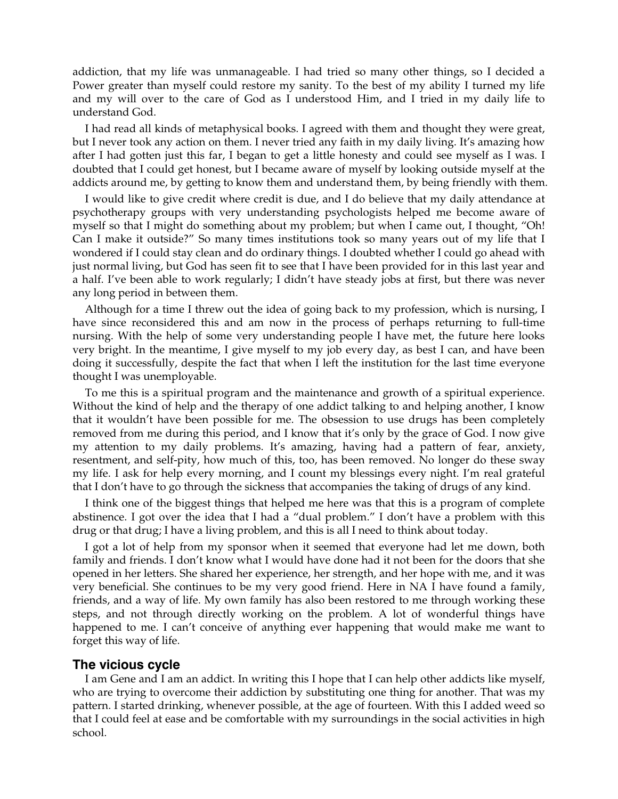addiction, that my life was unmanageable. I had tried so many other things, so I decided a Power greater than myself could restore my sanity. To the best of my ability I turned my life and my will over to the care of God as I understood Him, and I tried in my daily life to understand God.

I had read all kinds of metaphysical books. I agreed with them and thought they were great, but I never took any action on them. I never tried any faith in my daily living. It's amazing how after I had gotten just this far, I began to get a little honesty and could see myself as I was. I doubted that I could get honest, but I became aware of myself by looking outside myself at the addicts around me, by getting to know them and understand them, by being friendly with them.

I would like to give credit where credit is due, and I do believe that my daily attendance at psychotherapy groups with very understanding psychologists helped me become aware of myself so that I might do something about my problem; but when I came out, I thought, "Oh! Can I make it outside?" So many times institutions took so many years out of my life that I wondered if I could stay clean and do ordinary things. I doubted whether I could go ahead with just normal living, but God has seen fit to see that I have been provided for in this last year and a half. I've been able to work regularly; I didn't have steady jobs at first, but there was never any long period in between them.

Although for a time I threw out the idea of going back to my profession, which is nursing, I have since reconsidered this and am now in the process of perhaps returning to full-time nursing. With the help of some very understanding people I have met, the future here looks very bright. In the meantime, I give myself to my job every day, as best I can, and have been doing it successfully, despite the fact that when I left the institution for the last time everyone thought I was unemployable.

To me this is a spiritual program and the maintenance and growth of a spiritual experience. Without the kind of help and the therapy of one addict talking to and helping another, I know that it wouldn't have been possible for me. The obsession to use drugs has been completely removed from me during this period, and I know that it's only by the grace of God. I now give my attention to my daily problems. It's amazing, having had a pattern of fear, anxiety, resentment, and self-pity, how much of this, too, has been removed. No longer do these sway my life. I ask for help every morning, and I count my blessings every night. I'm real grateful that I don't have to go through the sickness that accompanies the taking of drugs of any kind.

I think one of the biggest things that helped me here was that this is a program of complete abstinence. I got over the idea that I had a "dual problem." I don't have a problem with this drug or that drug; I have a living problem, and this is all I need to think about today.

I got a lot of help from my sponsor when it seemed that everyone had let me down, both family and friends. I don't know what I would have done had it not been for the doors that she opened in her letters. She shared her experience, her strength, and her hope with me, and it was very beneficial. She continues to be my very good friend. Here in NA I have found a family, friends, and a way of life. My own family has also been restored to me through working these steps, and not through directly working on the problem. A lot of wonderful things have happened to me. I can't conceive of anything ever happening that would make me want to forget this way of life.

#### **The vicious cycle**

I am Gene and I am an addict. In writing this I hope that I can help other addicts like myself, who are trying to overcome their addiction by substituting one thing for another. That was my pattern. I started drinking, whenever possible, at the age of fourteen. With this I added weed so that I could feel at ease and be comfortable with my surroundings in the social activities in high school.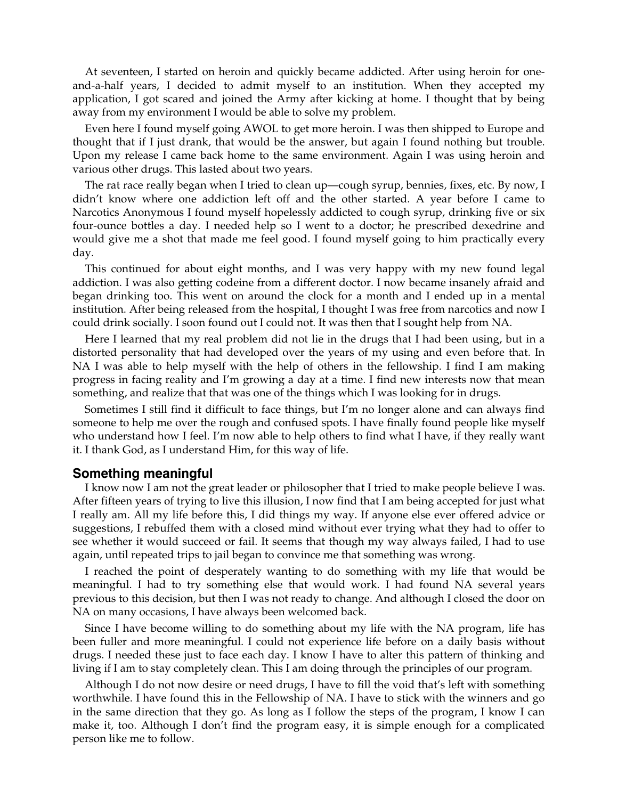At seventeen, I started on heroin and quickly became addicted. After using heroin for oneand-a-half years, I decided to admit myself to an institution. When they accepted my application, I got scared and joined the Army after kicking at home. I thought that by being away from my environment I would be able to solve my problem.

Even here I found myself going AWOL to get more heroin. I was then shipped to Europe and thought that if I just drank, that would be the answer, but again I found nothing but trouble. Upon my release I came back home to the same environment. Again I was using heroin and various other drugs. This lasted about two years.

The rat race really began when I tried to clean up—cough syrup, bennies, fixes, etc. By now, I didn't know where one addiction left off and the other started. A year before I came to Narcotics Anonymous I found myself hopelessly addicted to cough syrup, drinking five or six four-ounce bottles a day. I needed help so I went to a doctor; he prescribed dexedrine and would give me a shot that made me feel good. I found myself going to him practically every day.

This continued for about eight months, and I was very happy with my new found legal addiction. I was also getting codeine from a different doctor. I now became insanely afraid and began drinking too. This went on around the clock for a month and I ended up in a mental institution. After being released from the hospital, I thought I was free from narcotics and now I could drink socially. I soon found out I could not. It was then that I sought help from NA.

Here I learned that my real problem did not lie in the drugs that I had been using, but in a distorted personality that had developed over the years of my using and even before that. In NA I was able to help myself with the help of others in the fellowship. I find I am making progress in facing reality and I'm growing a day at a time. I find new interests now that mean something, and realize that that was one of the things which I was looking for in drugs.

Sometimes I still find it difficult to face things, but I'm no longer alone and can always find someone to help me over the rough and confused spots. I have finally found people like myself who understand how I feel. I'm now able to help others to find what I have, if they really want it. I thank God, as I understand Him, for this way of life.

#### **Something meaningful**

I know now I am not the great leader or philosopher that I tried to make people believe I was. After fifteen years of trying to live this illusion, I now find that I am being accepted for just what I really am. All my life before this, I did things my way. If anyone else ever offered advice or suggestions, I rebuffed them with a closed mind without ever trying what they had to offer to see whether it would succeed or fail. It seems that though my way always failed, I had to use again, until repeated trips to jail began to convince me that something was wrong.

I reached the point of desperately wanting to do something with my life that would be meaningful. I had to try something else that would work. I had found NA several years previous to this decision, but then I was not ready to change. And although I closed the door on NA on many occasions, I have always been welcomed back.

Since I have become willing to do something about my life with the NA program, life has been fuller and more meaningful. I could not experience life before on a daily basis without drugs. I needed these just to face each day. I know I have to alter this pattern of thinking and living if I am to stay completely clean. This I am doing through the principles of our program.

Although I do not now desire or need drugs, I have to fill the void that's left with something worthwhile. I have found this in the Fellowship of NA. I have to stick with the winners and go in the same direction that they go. As long as I follow the steps of the program, I know I can make it, too. Although I don't find the program easy, it is simple enough for a complicated person like me to follow.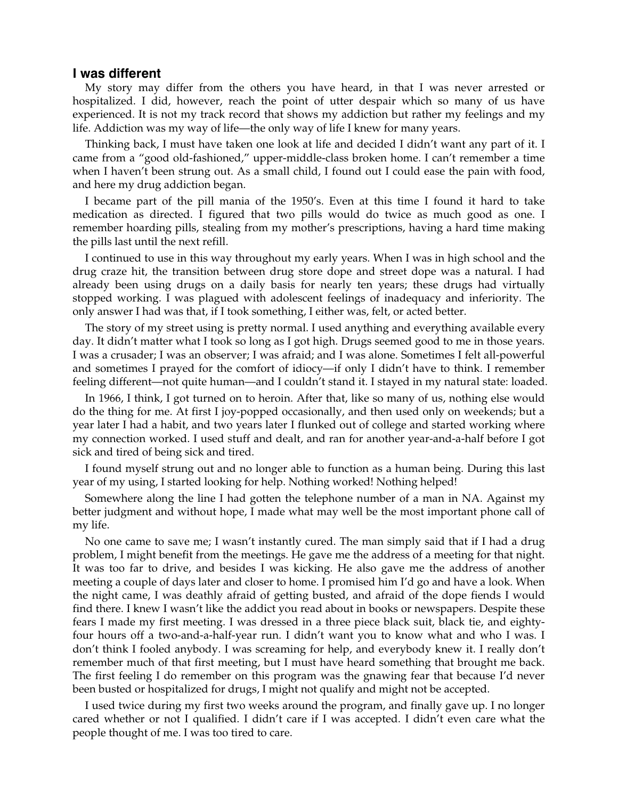#### **I was different**

My story may differ from the others you have heard, in that I was never arrested or hospitalized. I did, however, reach the point of utter despair which so many of us have experienced. It is not my track record that shows my addiction but rather my feelings and my life. Addiction was my way of life—the only way of life I knew for many years.

Thinking back, I must have taken one look at life and decided I didn't want any part of it. I came from a "good old-fashioned," upper-middle-class broken home. I can't remember a time when I haven't been strung out. As a small child, I found out I could ease the pain with food, and here my drug addiction began.

I became part of the pill mania of the 1950's. Even at this time I found it hard to take medication as directed. I figured that two pills would do twice as much good as one. I remember hoarding pills, stealing from my mother's prescriptions, having a hard time making the pills last until the next refill.

I continued to use in this way throughout my early years. When I was in high school and the drug craze hit, the transition between drug store dope and street dope was a natural. I had already been using drugs on a daily basis for nearly ten years; these drugs had virtually stopped working. I was plagued with adolescent feelings of inadequacy and inferiority. The only answer I had was that, if I took something, I either was, felt, or acted better.

The story of my street using is pretty normal. I used anything and everything available every day. It didn't matter what I took so long as I got high. Drugs seemed good to me in those years. I was a crusader; I was an observer; I was afraid; and I was alone. Sometimes I felt all-powerful and sometimes I prayed for the comfort of idiocy—if only I didn't have to think. I remember feeling different—not quite human—and I couldn't stand it. I stayed in my natural state: loaded.

In 1966, I think, I got turned on to heroin. After that, like so many of us, nothing else would do the thing for me. At first I joy-popped occasionally, and then used only on weekends; but a year later I had a habit, and two years later I flunked out of college and started working where my connection worked. I used stuff and dealt, and ran for another year-and-a-half before I got sick and tired of being sick and tired.

I found myself strung out and no longer able to function as a human being. During this last year of my using, I started looking for help. Nothing worked! Nothing helped!

Somewhere along the line I had gotten the telephone number of a man in NA. Against my better judgment and without hope, I made what may well be the most important phone call of my life.

No one came to save me; I wasn't instantly cured. The man simply said that if I had a drug problem, I might benefit from the meetings. He gave me the address of a meeting for that night. It was too far to drive, and besides I was kicking. He also gave me the address of another meeting a couple of days later and closer to home. I promised him I'd go and have a look. When the night came, I was deathly afraid of getting busted, and afraid of the dope fiends I would find there. I knew I wasn't like the addict you read about in books or newspapers. Despite these fears I made my first meeting. I was dressed in a three piece black suit, black tie, and eightyfour hours off a two-and-a-half-year run. I didn't want you to know what and who I was. I don't think I fooled anybody. I was screaming for help, and everybody knew it. I really don't remember much of that first meeting, but I must have heard something that brought me back. The first feeling I do remember on this program was the gnawing fear that because I'd never been busted or hospitalized for drugs, I might not qualify and might not be accepted.

I used twice during my first two weeks around the program, and finally gave up. I no longer cared whether or not I qualified. I didn't care if I was accepted. I didn't even care what the people thought of me. I was too tired to care.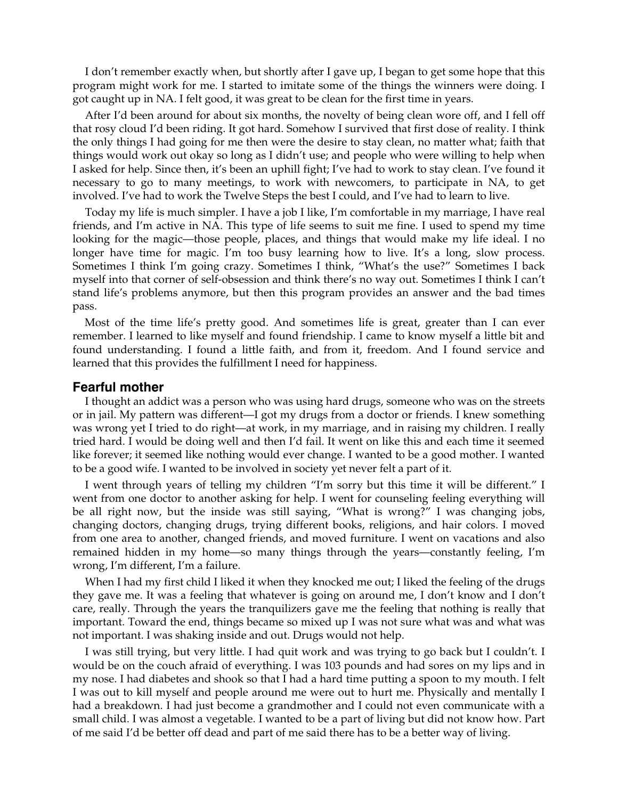I don't remember exactly when, but shortly after I gave up, I began to get some hope that this program might work for me. I started to imitate some of the things the winners were doing. I got caught up in NA. I felt good, it was great to be clean for the first time in years.

After I'd been around for about six months, the novelty of being clean wore off, and I fell off that rosy cloud I'd been riding. It got hard. Somehow I survived that first dose of reality. I think the only things I had going for me then were the desire to stay clean, no matter what; faith that things would work out okay so long as I didn't use; and people who were willing to help when I asked for help. Since then, it's been an uphill fight; I've had to work to stay clean. I've found it necessary to go to many meetings, to work with newcomers, to participate in NA, to get involved. I've had to work the Twelve Steps the best I could, and I've had to learn to live.

Today my life is much simpler. I have a job I like, I'm comfortable in my marriage, I have real friends, and I'm active in NA. This type of life seems to suit me fine. I used to spend my time looking for the magic—those people, places, and things that would make my life ideal. I no longer have time for magic. I'm too busy learning how to live. It's a long, slow process. Sometimes I think I'm going crazy. Sometimes I think, "What's the use?" Sometimes I back myself into that corner of self-obsession and think there's no way out. Sometimes I think I can't stand life's problems anymore, but then this program provides an answer and the bad times pass.

Most of the time life's pretty good. And sometimes life is great, greater than I can ever remember. I learned to like myself and found friendship. I came to know myself a little bit and found understanding. I found a little faith, and from it, freedom. And I found service and learned that this provides the fulfillment I need for happiness.

#### **Fearful mother**

I thought an addict was a person who was using hard drugs, someone who was on the streets or in jail. My pattern was different—I got my drugs from a doctor or friends. I knew something was wrong yet I tried to do right—at work, in my marriage, and in raising my children. I really tried hard. I would be doing well and then I'd fail. It went on like this and each time it seemed like forever; it seemed like nothing would ever change. I wanted to be a good mother. I wanted to be a good wife. I wanted to be involved in society yet never felt a part of it.

I went through years of telling my children "I'm sorry but this time it will be different." I went from one doctor to another asking for help. I went for counseling feeling everything will be all right now, but the inside was still saying, "What is wrong?" I was changing jobs, changing doctors, changing drugs, trying different books, religions, and hair colors. I moved from one area to another, changed friends, and moved furniture. I went on vacations and also remained hidden in my home—so many things through the years—constantly feeling, I'm wrong, I'm different, I'm a failure.

When I had my first child I liked it when they knocked me out; I liked the feeling of the drugs they gave me. It was a feeling that whatever is going on around me, I don't know and I don't care, really. Through the years the tranquilizers gave me the feeling that nothing is really that important. Toward the end, things became so mixed up I was not sure what was and what was not important. I was shaking inside and out. Drugs would not help.

I was still trying, but very little. I had quit work and was trying to go back but I couldn't. I would be on the couch afraid of everything. I was 103 pounds and had sores on my lips and in my nose. I had diabetes and shook so that I had a hard time putting a spoon to my mouth. I felt I was out to kill myself and people around me were out to hurt me. Physically and mentally I had a breakdown. I had just become a grandmother and I could not even communicate with a small child. I was almost a vegetable. I wanted to be a part of living but did not know how. Part of me said I'd be better off dead and part of me said there has to be a better way of living.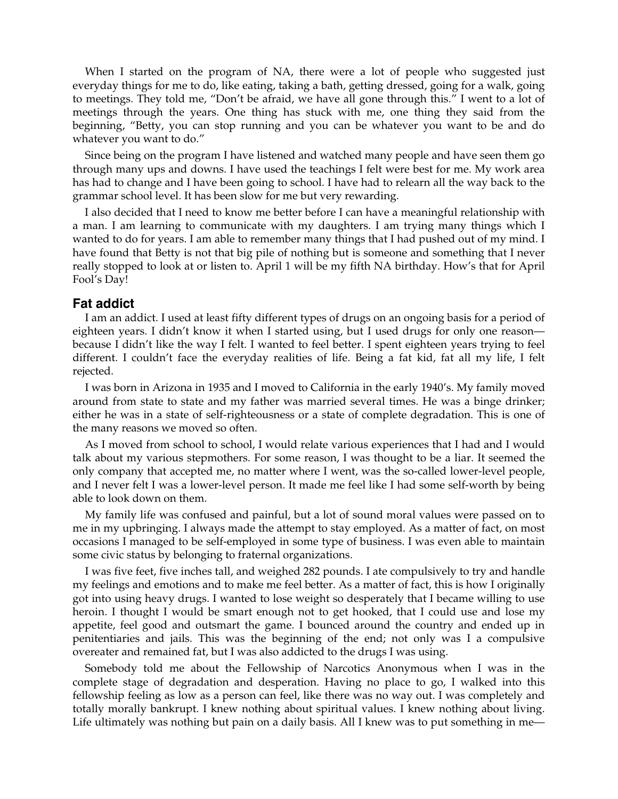When I started on the program of NA, there were a lot of people who suggested just everyday things for me to do, like eating, taking a bath, getting dressed, going for a walk, going to meetings. They told me, "Don't be afraid, we have all gone through this." I went to a lot of meetings through the years. One thing has stuck with me, one thing they said from the beginning, "Betty, you can stop running and you can be whatever you want to be and do whatever you want to do."

Since being on the program I have listened and watched many people and have seen them go through many ups and downs. I have used the teachings I felt were best for me. My work area has had to change and I have been going to school. I have had to relearn all the way back to the grammar school level. It has been slow for me but very rewarding.

I also decided that I need to know me better before I can have a meaningful relationship with a man. I am learning to communicate with my daughters. I am trying many things which I wanted to do for years. I am able to remember many things that I had pushed out of my mind. I have found that Betty is not that big pile of nothing but is someone and something that I never really stopped to look at or listen to. April 1 will be my fifth NA birthday. How's that for April Fool's Day!

#### **Fat addict**

I am an addict. I used at least fifty different types of drugs on an ongoing basis for a period of eighteen years. I didn't know it when I started using, but I used drugs for only one reason because I didn't like the way I felt. I wanted to feel better. I spent eighteen years trying to feel different. I couldn't face the everyday realities of life. Being a fat kid, fat all my life, I felt rejected.

I was born in Arizona in 1935 and I moved to California in the early 1940's. My family moved around from state to state and my father was married several times. He was a binge drinker; either he was in a state of self-righteousness or a state of complete degradation. This is one of the many reasons we moved so often.

As I moved from school to school, I would relate various experiences that I had and I would talk about my various stepmothers. For some reason, I was thought to be a liar. It seemed the only company that accepted me, no matter where I went, was the so-called lower-level people, and I never felt I was a lower-level person. It made me feel like I had some self-worth by being able to look down on them.

My family life was confused and painful, but a lot of sound moral values were passed on to me in my upbringing. I always made the attempt to stay employed. As a matter of fact, on most occasions I managed to be self-employed in some type of business. I was even able to maintain some civic status by belonging to fraternal organizations.

I was five feet, five inches tall, and weighed 282 pounds. I ate compulsively to try and handle my feelings and emotions and to make me feel better. As a matter of fact, this is how I originally got into using heavy drugs. I wanted to lose weight so desperately that I became willing to use heroin. I thought I would be smart enough not to get hooked, that I could use and lose my appetite, feel good and outsmart the game. I bounced around the country and ended up in penitentiaries and jails. This was the beginning of the end; not only was I a compulsive overeater and remained fat, but I was also addicted to the drugs I was using.

Somebody told me about the Fellowship of Narcotics Anonymous when I was in the complete stage of degradation and desperation. Having no place to go, I walked into this fellowship feeling as low as a person can feel, like there was no way out. I was completely and totally morally bankrupt. I knew nothing about spiritual values. I knew nothing about living. Life ultimately was nothing but pain on a daily basis. All I knew was to put something in me